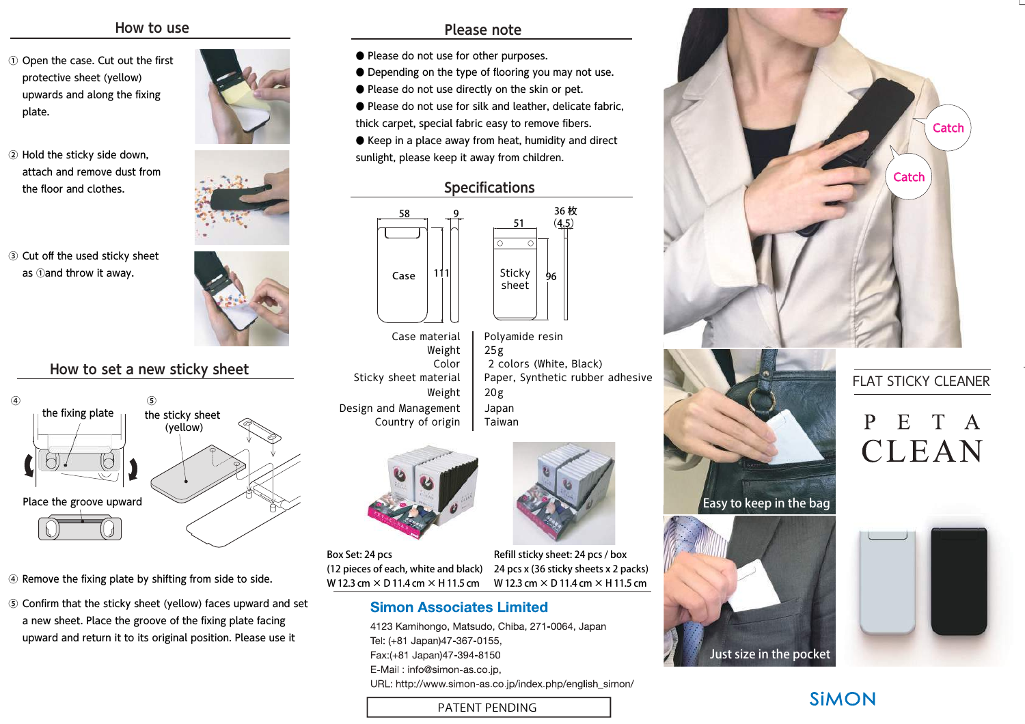#### How to use

- $\odot$  Open the case. Cut out the first protective sheet (yellow) upwards and along the fixing plate.
- ② Hold the sticky side down, attach and remove dust from the floor and clothes.
- ③ Cut off the used sticky sheet as ①and throw it away.





## How to set a new sticky sheet



- $\circledast$  Remove the fixing plate by shifting from side to side.
- ⑤ Confirm that the sticky sheet (yellow) faces upward and set a new sheet. Place the groove of the fixing plate facing upward and return it to its original position. Please use it

#### Please note

- Please do not use for other purposes.
- Depending on the type of flooring you may not use.
- Please do not use directly on the skin or pet.
- Please do not use for silk and leather, delicate fabric, thick carpet, special fabric easy to remove fibers.
- Keep in a place away from heat, humidity and direct sunlight, please keep it away from children.

Specifications



- Color Sticky sheet materialWeightCase materialWeightCountry of origin Design and Management
- 2 colors (White, Black) Paper, Synthetic rubber adhesive $25g$ Polyamide resin20g JapanTaiwan



Box Set: 24 pcs (12 pieces of each, white and black)W 12.3 cm × D 11.4 cm × H 11.5 cmRefill sticky sheet: 24 pcs / box 24 pcs x (36 sticky sheets x 2 packs)W 12.3 cm × D 11.4 cm × H 11.5 cm

#### **Simon Associates Limited**

4123 Kamihongo, Matsudo, Chiba, 271-0064, Japan Tel: (+81 Japan)47-367-0155, Fax:(+81 Japan)47-394-8150 E-Mail: info@simon-as.co.jp, URL: http://www.simon-as.co.jp/index.php/english\_simon/

PATENT PENDING







### FLAT STICKY CLEANER

# P  $E$ CLEAN



# **SIMON**